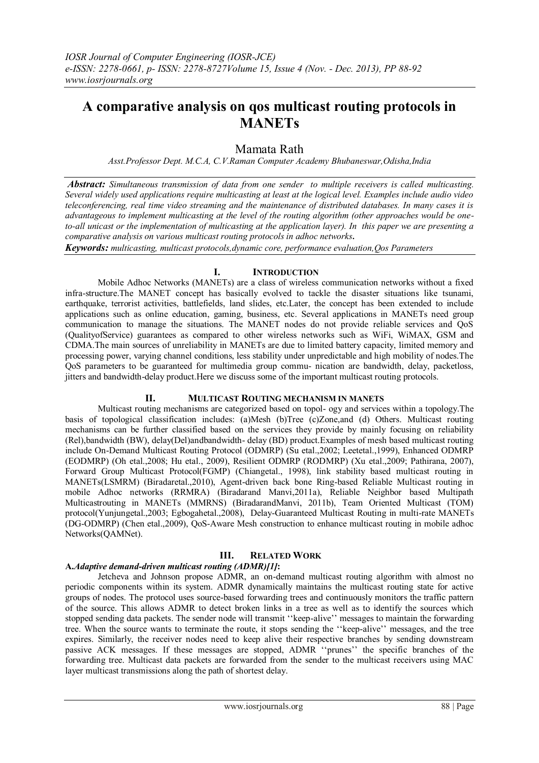# **A comparative analysis on qos multicast routing protocols in MANETs**

Mamata Rath

*Asst.Professor Dept. M.C.A, C.V.Raman Computer Academy Bhubaneswar,Odisha,India*

*Abstract: Simultaneous transmission of data from one sender to multiple receivers is called multicasting. Several widely used applications require multicasting at least at the logical level. Examples include audio video teleconferencing, real time video streaming and the maintenance of distributed databases. In many cases it is advantageous to implement multicasting at the level of the routing algorithm (other approaches would be oneto-all unicast or the implementation of multicasting at the application layer). In this paper we are presenting a comparative analysis on various multicast routing protocols in adhoc networks***.**

*Keywords: multicasting, multicast protocols,dynamic core, performance evaluation,Qos Parameters*

#### **I. INTRODUCTION**

Mobile Adhoc Networks (MANETs) are a class of wireless communication networks without a fixed infra-structure.The MANET concept has basically evolved to tackle the disaster situations like tsunami, earthquake, terrorist activities, battlefields, land slides, etc.Later, the concept has been extended to include applications such as online education, gaming, business, etc. Several applications in MANETs need group communication to manage the situations. The MANET nodes do not provide reliable services and QoS (QualityofService) guarantees as compared to other wireless networks such as WiFi, WiMAX, GSM and CDMA.The main sources of unreliability in MANETs are due to limited battery capacity, limited memory and processing power, varying channel conditions, less stability under unpredictable and high mobility of nodes.The QoS parameters to be guaranteed for multimedia group commu- nication are bandwidth, delay, packetloss, jitters and bandwidth-delay product.Here we discuss some of the important multicast routing protocols.

#### **II. MULTICAST ROUTING MECHANISM IN MANETS**

Multicast routing mechanisms are categorized based on topol- ogy and services within a topology.The basis of topological classification includes: (a)Mesh (b)Tree (c)Zone,and (d) Others. Multicast routing mechanisms can be further classified based on the services they provide by mainly focusing on reliability (Rel),bandwidth (BW), delay(Del)andbandwidth- delay (BD) product.Examples of mesh based multicast routing include On-Demand Multicast Routing Protocol (ODMRP) (Su etal.,2002; Leetetal.,1999), Enhanced ODMRP (EODMRP) (Oh etal.,2008; Hu etal., 2009), Resilient ODMRP (RODMRP) (Xu etal.,2009; Pathirana, 2007), Forward Group Multicast Protocol(FGMP) (Chiangetal., 1998), link stability based multicast routing in MANETs(LSMRM) (Biradaretal.,2010), Agent-driven back bone Ring-based Reliable Multicast routing in mobile Adhoc networks (RRMRA) (Biradarand Manvi,2011a), Reliable Neighbor based Multipath Multicastrouting in MANETs (MMRNS) (BiradarandManvi, 2011b), Team Oriented Multicast (TOM) protocol(Yunjungetal.,2003; Egbogahetal.,2008), Delay-Guaranteed Multicast Routing in multi-rate MANETs (DG-ODMRP) (Chen etal.,2009), QoS-Aware Mesh construction to enhance multicast routing in mobile adhoc Networks(QAMNet).

#### **III. RELATED WORK**

#### **A.***Adaptive demand-driven multicast routing (ADMR)[1]***:**

Jetcheva and Johnson propose ADMR, an on-demand multicast routing algorithm with almost no periodic components within its system. ADMR dynamically maintains the multicast routing state for active groups of nodes. The protocol uses source-based forwarding trees and continuously monitors the traffic pattern of the source. This allows ADMR to detect broken links in a tree as well as to identify the sources which stopped sending data packets. The sender node will transmit ''keep-alive'' messages to maintain the forwarding tree. When the source wants to terminate the route, it stops sending the ''keep-alive'' messages, and the tree expires. Similarly, the receiver nodes need to keep alive their respective branches by sending downstream passive ACK messages. If these messages are stopped, ADMR ''prunes'' the specific branches of the forwarding tree. Multicast data packets are forwarded from the sender to the multicast receivers using MAC layer multicast transmissions along the path of shortest delay.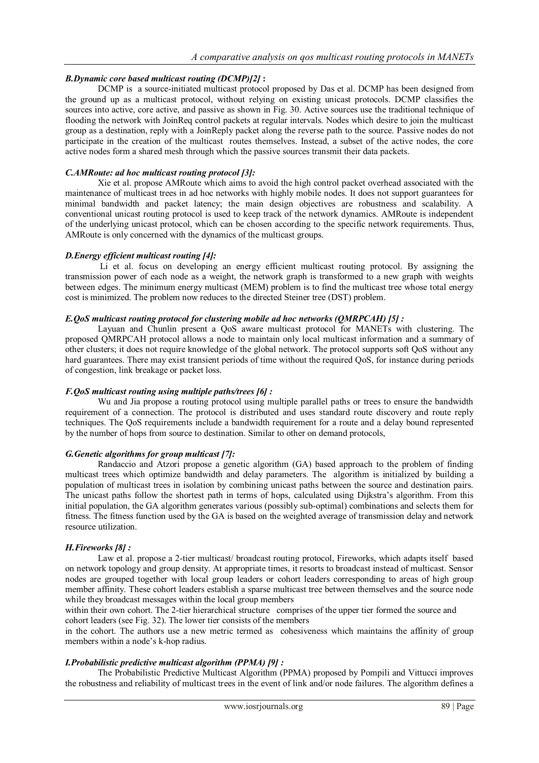# *B.Dynamic core based multicast routing (DCMP)[2]* **:**

DCMP is a source-initiated multicast protocol proposed by Das et al. DCMP has been designed from the ground up as a multicast protocol, without relying on existing unicast protocols. DCMP classifies the sources into active, core active, and passive as shown in Fig. 30. Active sources use the traditional technique of flooding the network with JoinReq control packets at regular intervals. Nodes which desire to join the multicast group as a destination, reply with a JoinReply packet along the reverse path to the source. Passive nodes do not participate in the creation of the multicast routes themselves. Instead, a subset of the active nodes, the core active nodes form a shared mesh through which the passive sources transmit their data packets.

# *C.AMRoute: ad hoc multicast routing protocol [3]:*

Xie et al. propose AMRoute which aims to avoid the high control packet overhead associated with the maintenance of multicast trees in ad hoc networks with highly mobile nodes. It does not support guarantees for minimal bandwidth and packet latency; the main design objectives are robustness and scalability. A conventional unicast routing protocol is used to keep track of the network dynamics. AMRoute is independent of the underlying unicast protocol, which can be chosen according to the specific network requirements. Thus, AMRoute is only concerned with the dynamics of the multicast groups.

#### *D.Energy efficient multicast routing [4]:*

Li et al. focus on developing an energy efficient multicast routing protocol. By assigning the transmission power of each node as a weight, the network graph is transformed to a new graph with weights between edges. The minimum energy multicast (MEM) problem is to find the multicast tree whose total energy cost is minimized. The problem now reduces to the directed Steiner tree (DST) problem.

#### *E.QoS multicast routing protocol for clustering mobile ad hoc networks (QMRPCAH) [5] :*

Layuan and Chunlin present a QoS aware multicast protocol for MANETs with clustering. The proposed QMRPCAH protocol allows a node to maintain only local multicast information and a summary of other clusters; it does not require knowledge of the global network. The protocol supports soft QoS without any hard guarantees. There may exist transient periods of time without the required QoS, for instance during periods of congestion, link breakage or packet loss.

#### *F.QoS multicast routing using multiple paths/trees [6] :*

Wu and Jia propose a routing protocol using multiple parallel paths or trees to ensure the bandwidth requirement of a connection. The protocol is distributed and uses standard route discovery and route reply techniques. The QoS requirements include a bandwidth requirement for a route and a delay bound represented by the number of hops from source to destination. Similar to other on demand protocols,

#### *G.Genetic algorithms for group multicast [7]:*

Randaccio and Atzori propose a genetic algorithm (GA) based approach to the problem of finding multicast trees which optimize bandwidth and delay parameters. The algorithm is initialized by building a population of multicast trees in isolation by combining unicast paths between the source and destination pairs. The unicast paths follow the shortest path in terms of hops, calculated using Dijkstra's algorithm. From this initial population, the GA algorithm generates various (possibly sub-optimal) combinations and selects them for fitness. The fitness function used by the GA is based on the weighted average of transmission delay and network resource utilization.

#### *H.Fireworks [8] :*

Law et al. propose a 2-tier multicast/ broadcast routing protocol, Fireworks, which adapts itself based on network topology and group density. At appropriate times, it resorts to broadcast instead of multicast. Sensor nodes are grouped together with local group leaders or cohort leaders corresponding to areas of high group member affinity. These cohort leaders establish a sparse multicast tree between themselves and the source node while they broadcast messages within the local group members

within their own cohort. The 2-tier hierarchical structure comprises of the upper tier formed the source and cohort leaders (see Fig. 32). The lower tier consists of the members

in the cohort. The authors use a new metric termed as cohesiveness which maintains the affinity of group members within a node's k-hop radius.

#### *I.Probabilistic predictive multicast algorithm (PPMA) [9] :*

The Probabilistic Predictive Multicast Algorithm (PPMA) proposed by Pompili and Vittucci improves the robustness and reliability of multicast trees in the event of link and/or node failures. The algorithm defines a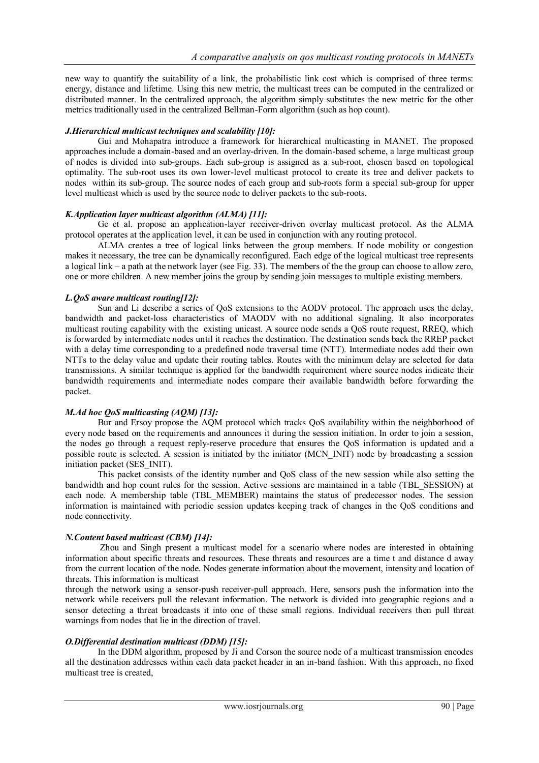new way to quantify the suitability of a link, the probabilistic link cost which is comprised of three terms: energy, distance and lifetime. Using this new metric, the multicast trees can be computed in the centralized or distributed manner. In the centralized approach, the algorithm simply substitutes the new metric for the other metrics traditionally used in the centralized Bellman-Form algorithm (such as hop count).

## *J.Hierarchical multicast techniques and scalability [10]:*

Gui and Mohapatra introduce a framework for hierarchical multicasting in MANET. The proposed approaches include a domain-based and an overlay-driven. In the domain-based scheme, a large multicast group of nodes is divided into sub-groups. Each sub-group is assigned as a sub-root, chosen based on topological optimality. The sub-root uses its own lower-level multicast protocol to create its tree and deliver packets to nodes within its sub-group. The source nodes of each group and sub-roots form a special sub-group for upper level multicast which is used by the source node to deliver packets to the sub-roots.

#### *K.Application layer multicast algorithm (ALMA) [11]:*

Ge et al. propose an application-layer receiver-driven overlay multicast protocol. As the ALMA protocol operates at the application level, it can be used in conjunction with any routing protocol.

ALMA creates a tree of logical links between the group members. If node mobility or congestion makes it necessary, the tree can be dynamically reconfigured. Each edge of the logical multicast tree represents a logical link – a path at the network layer (see Fig. 33). The members of the the group can choose to allow zero, one or more children. A new member joins the group by sending join messages to multiple existing members.

#### *L.QoS aware multicast routing[12]:*

Sun and Li describe a series of QoS extensions to the AODV protocol. The approach uses the delay, bandwidth and packet-loss characteristics of MAODV with no additional signaling. It also incorporates multicast routing capability with the existing unicast. A source node sends a QoS route request, RREQ, which is forwarded by intermediate nodes until it reaches the destination. The destination sends back the RREP packet with a delay time corresponding to a predefined node traversal time (NTT). Intermediate nodes add their own NTTs to the delay value and update their routing tables. Routes with the minimum delay are selected for data transmissions. A similar technique is applied for the bandwidth requirement where source nodes indicate their bandwidth requirements and intermediate nodes compare their available bandwidth before forwarding the packet.

#### *M.Ad hoc QoS multicasting (AQM) [13]:*

Bur and Ersoy propose the AOM protocol which tracks OoS availability within the neighborhood of every node based on the requirements and announces it during the session initiation. In order to join a session, the nodes go through a request reply-reserve procedure that ensures the QoS information is updated and a possible route is selected. A session is initiated by the initiator (MCN\_INIT) node by broadcasting a session initiation packet (SES\_INIT).

This packet consists of the identity number and QoS class of the new session while also setting the bandwidth and hop count rules for the session. Active sessions are maintained in a table (TBL\_SESSION) at each node. A membership table (TBL\_MEMBER) maintains the status of predecessor nodes. The session information is maintained with periodic session updates keeping track of changes in the QoS conditions and node connectivity.

#### *N.Content based multicast (CBM) [14]:*

Zhou and Singh present a multicast model for a scenario where nodes are interested in obtaining information about specific threats and resources. These threats and resources are a time t and distance d away from the current location of the node. Nodes generate information about the movement, intensity and location of threats. This information is multicast

through the network using a sensor-push receiver-pull approach. Here, sensors push the information into the network while receivers pull the relevant information. The network is divided into geographic regions and a sensor detecting a threat broadcasts it into one of these small regions. Individual receivers then pull threat warnings from nodes that lie in the direction of travel.

### *O.Differential destination multicast (DDM) [15]:*

In the DDM algorithm, proposed by Ji and Corson the source node of a multicast transmission encodes all the destination addresses within each data packet header in an in-band fashion. With this approach, no fixed multicast tree is created,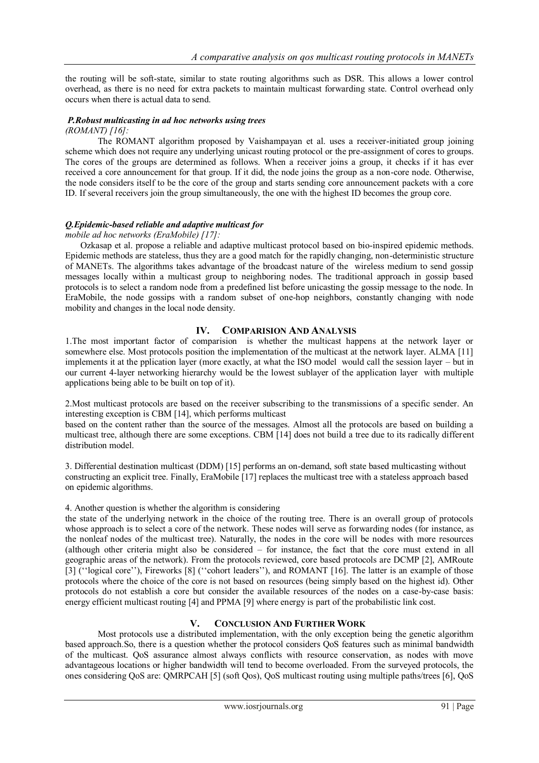the routing will be soft-state, similar to state routing algorithms such as DSR. This allows a lower control overhead, as there is no need for extra packets to maintain multicast forwarding state. Control overhead only occurs when there is actual data to send.

# *P.Robust multicasting in ad hoc networks using trees*

#### *(ROMANT) [16]:*

The ROMANT algorithm proposed by Vaishampayan et al. uses a receiver-initiated group joining scheme which does not require any underlying unicast routing protocol or the pre-assignment of cores to groups. The cores of the groups are determined as follows. When a receiver joins a group, it checks if it has ever received a core announcement for that group. If it did, the node joins the group as a non-core node. Otherwise, the node considers itself to be the core of the group and starts sending core announcement packets with a core ID. If several receivers join the group simultaneously, the one with the highest ID becomes the group core.

#### *Q.Epidemic-based reliable and adaptive multicast for*

*mobile ad hoc networks (EraMobile) [17]:* 

Ozkasap et al. propose a reliable and adaptive multicast protocol based on bio-inspired epidemic methods. Epidemic methods are stateless, thus they are a good match for the rapidly changing, non-deterministic structure of MANETs. The algorithms takes advantage of the broadcast nature of the wireless medium to send gossip messages locally within a multicast group to neighboring nodes. The traditional approach in gossip based protocols is to select a random node from a predefined list before unicasting the gossip message to the node. In EraMobile, the node gossips with a random subset of one-hop neighbors, constantly changing with node mobility and changes in the local node density.

#### **IV. COMPARISION AND ANALYSIS**

1.The most important factor of comparision is whether the multicast happens at the network layer or somewhere else. Most protocols position the implementation of the multicast at the network layer. ALMA [11] implements it at the pplication layer (more exactly, at what the ISO model would call the session layer – but in our current 4-layer networking hierarchy would be the lowest sublayer of the application layer with multiple applications being able to be built on top of it).

2.Most multicast protocols are based on the receiver subscribing to the transmissions of a specific sender. An interesting exception is CBM [14], which performs multicast

based on the content rather than the source of the messages. Almost all the protocols are based on building a multicast tree, although there are some exceptions. CBM [14] does not build a tree due to its radically different distribution model.

3. Differential destination multicast (DDM) [15] performs an on-demand, soft state based multicasting without constructing an explicit tree. Finally, EraMobile [17] replaces the multicast tree with a stateless approach based on epidemic algorithms.

#### 4. Another question is whether the algorithm is considering

the state of the underlying network in the choice of the routing tree. There is an overall group of protocols whose approach is to select a core of the network. These nodes will serve as forwarding nodes (for instance, as the nonleaf nodes of the multicast tree). Naturally, the nodes in the core will be nodes with more resources (although other criteria might also be considered – for instance, the fact that the core must extend in all geographic areas of the network). From the protocols reviewed, core based protocols are DCMP [2], AMRoute [3] (''logical core''), Fireworks [8] (''cohort leaders''), and ROMANT [16]. The latter is an example of those protocols where the choice of the core is not based on resources (being simply based on the highest id). Other protocols do not establish a core but consider the available resources of the nodes on a case-by-case basis: energy efficient multicast routing [4] and PPMA [9] where energy is part of the probabilistic link cost.

# **V. CONCLUSION AND FURTHER WORK**

Most protocols use a distributed implementation, with the only exception being the genetic algorithm based approach.So, there is a question whether the protocol considers QoS features such as minimal bandwidth of the multicast. QoS assurance almost always conflicts with resource conservation, as nodes with move advantageous locations or higher bandwidth will tend to become overloaded. From the surveyed protocols, the ones considering QoS are: QMRPCAH [5] (soft Qos), QoS multicast routing using multiple paths/trees [6], QoS